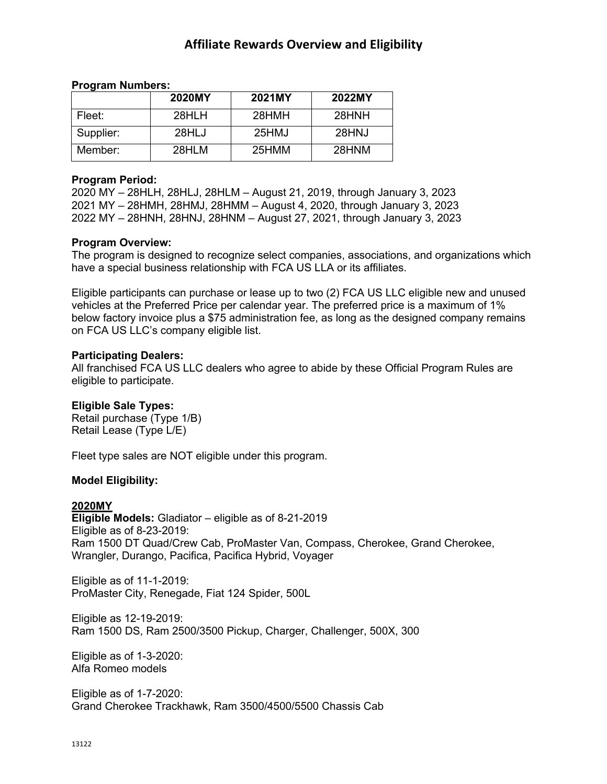# **Affiliate Rewards Overview and Eligibility**

### **Program Numbers:**

|           | 2020MY | 2021MY | 2022MY |
|-----------|--------|--------|--------|
| Fleet:    | 28HLH  | 28HMH  | 28HNH  |
| Supplier: | 28HLJ  | 25HMJ  | 28HNJ  |
| Member:   | 28HLM  | 25HMM  | 28HNM  |

#### **Program Period:**

2020 MY – 28HLH, 28HLJ, 28HLM – August 21, 2019, through January 3, 2023 2021 MY – 28HMH, 28HMJ, 28HMM – August 4, 2020, through January 3, 2023 2022 MY – 28HNH, 28HNJ, 28HNM – August 27, 2021, through January 3, 2023

## **Program Overview:**

The program is designed to recognize select companies, associations, and organizations which have a special business relationship with FCA US LLA or its affiliates.

Eligible participants can purchase or lease up to two (2) FCA US LLC eligible new and unused vehicles at the Preferred Price per calendar year. The preferred price is a maximum of 1% below factory invoice plus a \$75 administration fee, as long as the designed company remains on FCA US LLC's company eligible list.

### **Participating Dealers:**

All franchised FCA US LLC dealers who agree to abide by these Official Program Rules are eligible to participate.

## **Eligible Sale Types:**

Retail purchase (Type 1/B) Retail Lease (Type L/E)

Fleet type sales are NOT eligible under this program.

## **Model Eligibility:**

#### **2020MY**

**Eligible Models:** Gladiator – eligible as of 8-21-2019 Eligible as of 8-23-2019: Ram 1500 DT Quad/Crew Cab, ProMaster Van, Compass, Cherokee, Grand Cherokee, Wrangler, Durango, Pacifica, Pacifica Hybrid, Voyager

Eligible as of 11-1-2019: ProMaster City, Renegade, Fiat 124 Spider, 500L

Eligible as 12-19-2019: Ram 1500 DS, Ram 2500/3500 Pickup, Charger, Challenger, 500X, 300

Eligible as of 1-3-2020: Alfa Romeo models

Eligible as of 1-7-2020: Grand Cherokee Trackhawk, Ram 3500/4500/5500 Chassis Cab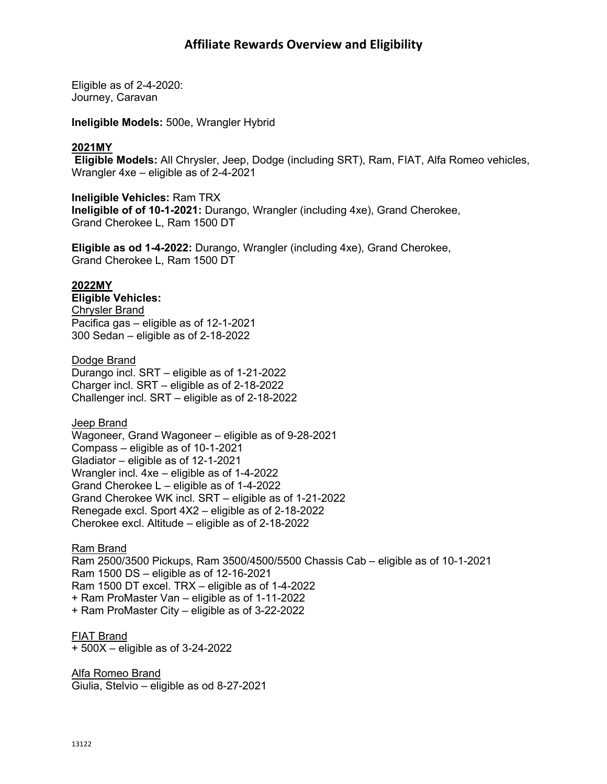Eligible as of 2-4-2020: Journey, Caravan

**Ineligible Models:** 500e, Wrangler Hybrid

## **2021MY**

**Eligible Models:** All Chrysler, Jeep, Dodge (including SRT), Ram, FIAT, Alfa Romeo vehicles, Wrangler 4xe – eligible as of 2-4-2021

**Ineligible Vehicles:** Ram TRX **Ineligible of of 10-1-2021:** Durango, Wrangler (including 4xe), Grand Cherokee, Grand Cherokee L, Ram 1500 DT

**Eligible as od 1-4-2022:** Durango, Wrangler (including 4xe), Grand Cherokee, Grand Cherokee L, Ram 1500 DT

#### **2022MY**

**Eligible Vehicles:** Chrysler Brand Pacifica gas – eligible as of 12-1-2021 300 Sedan – eligible as of 2-18-2022

#### Dodge Brand

Durango incl. SRT – eligible as of 1-21-2022 Charger incl. SRT – eligible as of 2-18-2022 Challenger incl. SRT – eligible as of 2-18-2022

**Jeep Brand** 

Wagoneer, Grand Wagoneer – eligible as of 9-28-2021 Compass – eligible as of 10-1-2021 Gladiator – eligible as of 12-1-2021 Wrangler incl. 4xe – eligible as of 1-4-2022 Grand Cherokee L – eligible as of 1-4-2022 Grand Cherokee WK incl. SRT – eligible as of 1-21-2022 Renegade excl. Sport 4X2 – eligible as of 2-18-2022 Cherokee excl. Altitude – eligible as of 2-18-2022

Ram Brand Ram 2500/3500 Pickups, Ram 3500/4500/5500 Chassis Cab – eligible as of 10-1-2021 Ram 1500 DS – eligible as of 12-16-2021 Ram 1500 DT excel. TRX – eligible as of 1-4-2022 + Ram ProMaster Van – eligible as of 1-11-2022 + Ram ProMaster City – eligible as of 3-22-2022

FIAT Brand + 500X – eligible as of 3-24-2022

Alfa Romeo Brand Giulia, Stelvio – eligible as od 8-27-2021